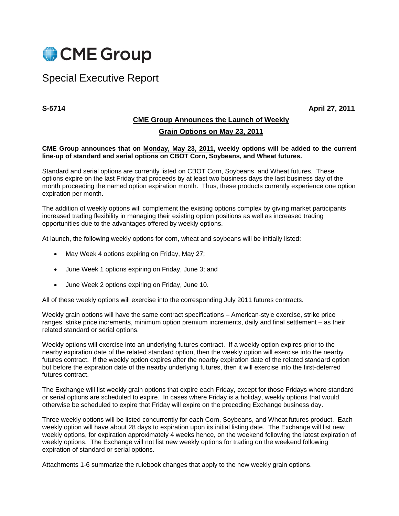

# Special Executive Report

**S-5714 April 27, 2011** 

## **CME Group Announces the Launch of Weekly Grain Options on May 23, 2011**

#### **CME Group announces that on Monday, May 23, 2011, weekly options will be added to the current line-up of standard and serial options on CBOT Corn, Soybeans, and Wheat futures.**

Standard and serial options are currently listed on CBOT Corn, Soybeans, and Wheat futures. These options expire on the last Friday that proceeds by at least two business days the last business day of the month proceeding the named option expiration month. Thus, these products currently experience one option expiration per month.

The addition of weekly options will complement the existing options complex by giving market participants increased trading flexibility in managing their existing option positions as well as increased trading opportunities due to the advantages offered by weekly options.

At launch, the following weekly options for corn, wheat and soybeans will be initially listed:

- May Week 4 options expiring on Friday, May 27;
- June Week 1 options expiring on Friday, June 3; and
- June Week 2 options expiring on Friday, June 10.

All of these weekly options will exercise into the corresponding July 2011 futures contracts.

Weekly grain options will have the same contract specifications – American-style exercise, strike price ranges, strike price increments, minimum option premium increments, daily and final settlement – as their related standard or serial options.

Weekly options will exercise into an underlying futures contract. If a weekly option expires prior to the nearby expiration date of the related standard option, then the weekly option will exercise into the nearby futures contract. If the weekly option expires after the nearby expiration date of the related standard option but before the expiration date of the nearby underlying futures, then it will exercise into the first-deferred futures contract.

The Exchange will list weekly grain options that expire each Friday, except for those Fridays where standard or serial options are scheduled to expire. In cases where Friday is a holiday, weekly options that would otherwise be scheduled to expire that Friday will expire on the preceding Exchange business day.

Three weekly options will be listed concurrently for each Corn, Soybeans, and Wheat futures product. Each weekly option will have about 28 days to expiration upon its initial listing date. The Exchange will list new weekly options, for expiration approximately 4 weeks hence, on the weekend following the latest expiration of weekly options. The Exchange will not list new weekly options for trading on the weekend following expiration of standard or serial options.

Attachments 1-6 summarize the rulebook changes that apply to the new weekly grain options.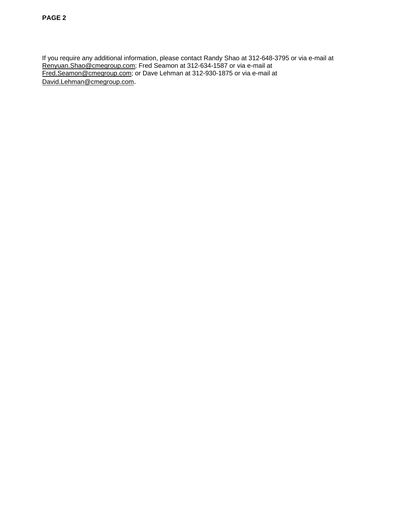If you require any additional information, please contact Randy Shao at 312-648-3795 or via e-mail at Renyuan.Shao@cmegroup.com; Fred Seamon at 312-634-1587 or via e-mail at Fred.Seamon@cmegroup.com; or Dave Lehman at 312-930-1875 or via e-mail at David.Lehman@cmegroup.com.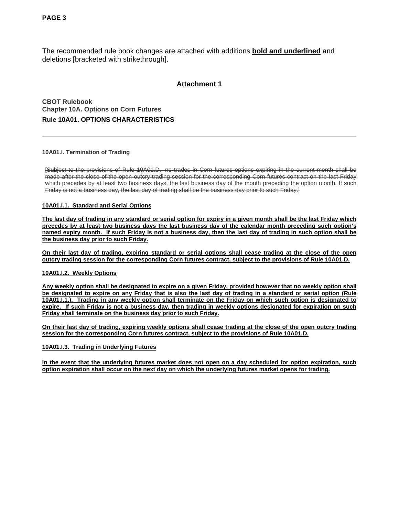The recommended rule book changes are attached with additions **bold and underlined** and deletions [bracketed with strikethrough].

## **Attachment 1**

**CBOT Rulebook Chapter 10A. Options on Corn Futures Rule 10A01. OPTIONS CHARACTERISTICS** 

#### **10A01.I. Termination of Trading**

[Subject to the provisions of Rule 10A01.D., no trades in Corn futures options expiring in the current month shall be made after the close of the open outcry trading session for the corresponding Corn futures contract on the last Friday which precedes by at least two business days, the last business day of the month preceding the option month. If such Friday is not a business day, the last day of trading shall be the business day prior to such Friday.]

#### **10A01.I.1. Standard and Serial Options**

**The last day of trading in any standard or serial option for expiry in a given month shall be the last Friday which precedes by at least two business days the last business day of the calendar month preceding such option's named expiry month. If such Friday is not a business day, then the last day of trading in such option shall be the business day prior to such Friday.**

**On their last day of trading, expiring standard or serial options shall cease trading at the close of the open outcry trading session for the corresponding Corn futures contract, subject to the provisions of Rule 10A01.D.** 

#### **10A01.I.2. Weekly Options**

**Any weekly option shall be designated to expire on a given Friday, provided however that no weekly option shall be designated to expire on any Friday that is also the last day of trading in a standard or serial option (Rule 10A01.I.1.). Trading in any weekly option shall terminate on the Friday on which such option is designated to expire. If such Friday is not a business day, then trading in weekly options designated for expiration on such Friday shall terminate on the business day prior to such Friday.**

**On their last day of trading, expiring weekly options shall cease trading at the close of the open outcry trading session for the corresponding Corn futures contract, subject to the provisions of Rule 10A01.D.**

#### **10A01.I.3. Trading in Underlying Futures**

**In the event that the underlying futures market does not open on a day scheduled for option expiration, such option expiration shall occur on the next day on which the underlying futures market opens for trading.**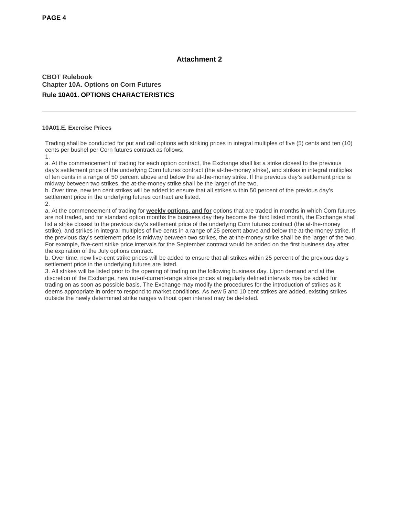## **CBOT Rulebook Chapter 10A. Options on Corn Futures Rule 10A01. OPTIONS CHARACTERISTICS**

#### **10A01.E. Exercise Prices**

Trading shall be conducted for put and call options with striking prices in integral multiples of five (5) cents and ten (10) cents per bushel per Corn futures contract as follows:

1.

a. At the commencement of trading for each option contract, the Exchange shall list a strike closest to the previous day's settlement price of the underlying Corn futures contract (the at-the-money strike), and strikes in integral multiples of ten cents in a range of 50 percent above and below the at-the-money strike. If the previous day's settlement price is midway between two strikes, the at-the-money strike shall be the larger of the two.

b. Over time, new ten cent strikes will be added to ensure that all strikes within 50 percent of the previous day's settlement price in the underlying futures contract are listed. 2.

a. At the commencement of trading for **weekly options, and for** options that are traded in months in which Corn futures are not traded, and for standard option months the business day they become the third listed month, the Exchange shall list a strike closest to the previous day's settlement price of the underlying Corn futures contract (the at-the-money strike), and strikes in integral multiples of five cents in a range of 25 percent above and below the at-the-money strike. If the previous day's settlement price is midway between two strikes, the at-the-money strike shall be the larger of the two. For example, five-cent strike price intervals for the September contract would be added on the first business day after the expiration of the July options contract.

b. Over time, new five-cent strike prices will be added to ensure that all strikes within 25 percent of the previous day's settlement price in the underlying futures are listed.

3. All strikes will be listed prior to the opening of trading on the following business day. Upon demand and at the discretion of the Exchange, new out-of-current-range strike prices at regularly defined intervals may be added for trading on as soon as possible basis. The Exchange may modify the procedures for the introduction of strikes as it deems appropriate in order to respond to market conditions. As new 5 and 10 cent strikes are added, existing strikes outside the newly determined strike ranges without open interest may be de-listed.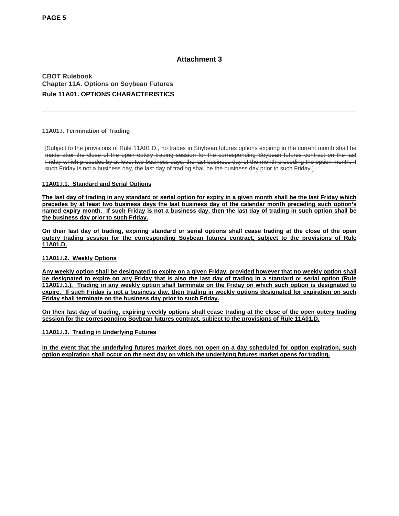## **CBOT Rulebook Chapter 11A. Options on Soybean Futures Rule 11A01. OPTIONS CHARACTERISTICS**

#### **11A01.I. Termination of Trading**

[Subject to the provisions of Rule 11A01.D., no trades in Soybean futures options expiring in the current month shall be made after the close of the open outcry trading session for the corresponding Soybean futures contract on the last Friday which precedes by at least two business days, the last business day of the month preceding the option month. If such Friday is not a business day, the last day of trading shall be the business day prior to such Friday.]

#### **11A01.I.1. Standard and Serial Options**

**The last day of trading in any standard or serial option for expiry in a given month shall be the last Friday which precedes by at least two business days the last business day of the calendar month preceding such option's named expiry month. If such Friday is not a business day, then the last day of trading in such option shall be the business day prior to such Friday.**

**On their last day of trading, expiring standard or serial options shall cease trading at the close of the open outcry trading session for the corresponding Soybean futures contract, subject to the provisions of Rule 11A01.D.** 

#### **11A01.I.2. Weekly Options**

**Any weekly option shall be designated to expire on a given Friday, provided however that no weekly option shall be designated to expire on any Friday that is also the last day of trading in a standard or serial option (Rule 11A01.I.1.). Trading in any weekly option shall terminate on the Friday on which such option is designated to expire. If such Friday is not a business day, then trading in weekly options designated for expiration on such Friday shall terminate on the business day prior to such Friday.**

**On their last day of trading, expiring weekly options shall cease trading at the close of the open outcry trading session for the corresponding Soybean futures contract, subject to the provisions of Rule 11A01.D.**

#### **11A01.I.3. Trading in Underlying Futures**

**In the event that the underlying futures market does not open on a day scheduled for option expiration, such option expiration shall occur on the next day on which the underlying futures market opens for trading.**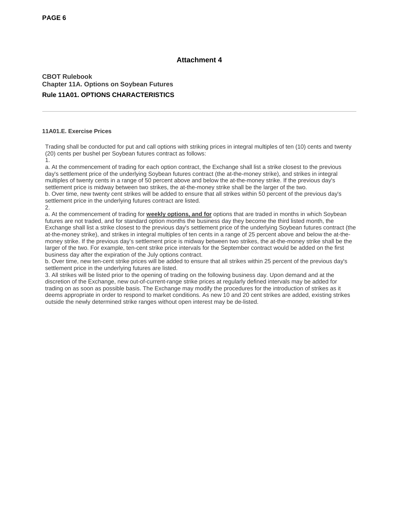**CBOT Rulebook Chapter 11A. Options on Soybean Futures Rule 11A01. OPTIONS CHARACTERISTICS**

#### **11A01.E. Exercise Prices**

Trading shall be conducted for put and call options with striking prices in integral multiples of ten (10) cents and twenty (20) cents per bushel per Soybean futures contract as follows:

1.

a. At the commencement of trading for each option contract, the Exchange shall list a strike closest to the previous day's settlement price of the underlying Soybean futures contract (the at-the-money strike), and strikes in integral multiples of twenty cents in a range of 50 percent above and below the at-the-money strike. If the previous day's settlement price is midway between two strikes, the at-the-money strike shall be the larger of the two. b. Over time, new twenty cent strikes will be added to ensure that all strikes within 50 percent of the previous day's settlement price in the underlying futures contract are listed. 2.

a. At the commencement of trading for **weekly options, and for** options that are traded in months in which Soybean futures are not traded, and for standard option months the business day they become the third listed month, the Exchange shall list a strike closest to the previous day's settlement price of the underlying Soybean futures contract (the at-the-money strike), and strikes in integral multiples of ten cents in a range of 25 percent above and below the at-themoney strike. If the previous day's settlement price is midway between two strikes, the at-the-money strike shall be the larger of the two. For example, ten-cent strike price intervals for the September contract would be added on the first business day after the expiration of the July options contract.

b. Over time, new ten-cent strike prices will be added to ensure that all strikes within 25 percent of the previous day's settlement price in the underlying futures are listed.

3. All strikes will be listed prior to the opening of trading on the following business day. Upon demand and at the discretion of the Exchange, new out-of-current-range strike prices at regularly defined intervals may be added for trading on as soon as possible basis. The Exchange may modify the procedures for the introduction of strikes as it deems appropriate in order to respond to market conditions. As new 10 and 20 cent strikes are added, existing strikes outside the newly determined strike ranges without open interest may be de-listed.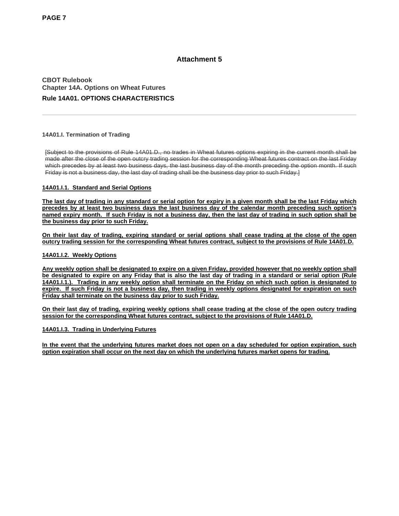**CBOT Rulebook Chapter 14A. Options on Wheat Futures Rule 14A01. OPTIONS CHARACTERISTICS**

#### **14A01.I. Termination of Trading**

[Subject to the provisions of Rule 14A01.D., no trades in Wheat futures options expiring in the current month shall be made after the close of the open outcry trading session for the corresponding Wheat futures contract on the last Friday which precedes by at least two business days, the last business day of the month preceding the option month. If such Friday is not a business day, the last day of trading shall be the business day prior to such Friday.]

#### **14A01.I.1. Standard and Serial Options**

**The last day of trading in any standard or serial option for expiry in a given month shall be the last Friday which precedes by at least two business days the last business day of the calendar month preceding such option's named expiry month. If such Friday is not a business day, then the last day of trading in such option shall be the business day prior to such Friday.**

**On their last day of trading, expiring standard or serial options shall cease trading at the close of the open outcry trading session for the corresponding Wheat futures contract, subject to the provisions of Rule 14A01.D.** 

#### **14A01.I.2. Weekly Options**

**Any weekly option shall be designated to expire on a given Friday, provided however that no weekly option shall be designated to expire on any Friday that is also the last day of trading in a standard or serial option (Rule 14A01.I.1.). Trading in any weekly option shall terminate on the Friday on which such option is designated to expire. If such Friday is not a business day, then trading in weekly options designated for expiration on such Friday shall terminate on the business day prior to such Friday.**

**On their last day of trading, expiring weekly options shall cease trading at the close of the open outcry trading session for the corresponding Wheat futures contract, subject to the provisions of Rule 14A01.D.**

#### **14A01.I.3. Trading in Underlying Futures**

**In the event that the underlying futures market does not open on a day scheduled for option expiration, such option expiration shall occur on the next day on which the underlying futures market opens for trading.**